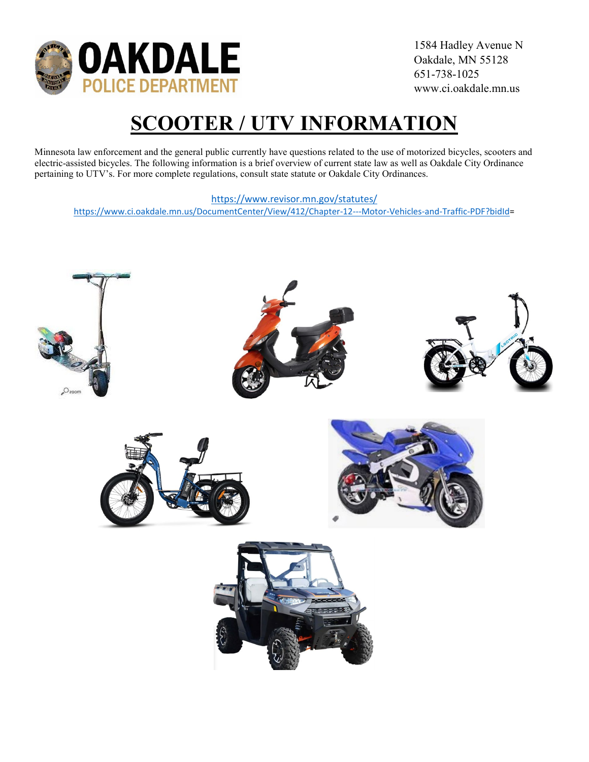

# **SCOOTER / UTV INFORMATION**

Minnesota law enforcement and the general public currently have questions related to the use of motorized bicycles, scooters and electric-assisted bicycles. The following information is a brief overview of current state law as well as Oakdale City Ordinance pertaining to UTV's. For more complete regulations, consult state statute or Oakdale City Ordinances.

#### <https://www.revisor.mn.gov/statutes/>

[https://www.ci.oakdale.mn.us/DocumentCenter/View/412/Chapter-12---Motor-Vehicles-and-Traffic-PDF?bidId=](https://www.ci.oakdale.mn.us/DocumentCenter/View/412/Chapter-12---Motor-Vehicles-and-Traffic-PDF?bidId)

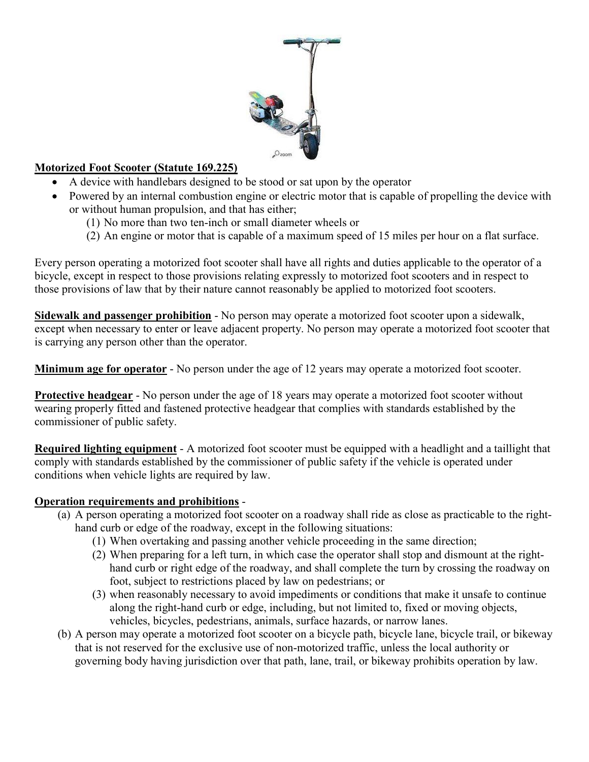

#### **Motorized Foot Scooter (Statute 169.225)**

- A device with handlebars designed to be stood or sat upon by the operator
- Powered by an internal combustion engine or electric motor that is capable of propelling the device with or without human propulsion, and that has either;
	- (1) No more than two ten-inch or small diameter wheels or
	- (2) An engine or motor that is capable of a maximum speed of 15 miles per hour on a flat surface.

Every person operating a motorized foot scooter shall have all rights and duties applicable to the operator of a bicycle, except in respect to those provisions relating expressly to motorized foot scooters and in respect to those provisions of law that by their nature cannot reasonably be applied to motorized foot scooters.

**Sidewalk and passenger prohibition** - No person may operate a motorized foot scooter upon a sidewalk, except when necessary to enter or leave adjacent property. No person may operate a motorized foot scooter that is carrying any person other than the operator.

**Minimum age for operator** - No person under the age of 12 years may operate a motorized foot scooter.

**Protective headgear** - No person under the age of 18 years may operate a motorized foot scooter without wearing properly fitted and fastened protective headgear that complies with standards established by the commissioner of public safety.

**Required lighting equipment** - A motorized foot scooter must be equipped with a headlight and a taillight that comply with standards established by the commissioner of public safety if the vehicle is operated under conditions when vehicle lights are required by law.

#### **Operation requirements and prohibitions** -

- (a) A person operating a motorized foot scooter on a roadway shall ride as close as practicable to the righthand curb or edge of the roadway, except in the following situations:
	- (1) When overtaking and passing another vehicle proceeding in the same direction;
	- (2) When preparing for a left turn, in which case the operator shall stop and dismount at the righthand curb or right edge of the roadway, and shall complete the turn by crossing the roadway on foot, subject to restrictions placed by law on pedestrians; or
	- (3) when reasonably necessary to avoid impediments or conditions that make it unsafe to continue along the right-hand curb or edge, including, but not limited to, fixed or moving objects, vehicles, bicycles, pedestrians, animals, surface hazards, or narrow lanes.
- (b) A person may operate a motorized foot scooter on a bicycle path, bicycle lane, bicycle trail, or bikeway that is not reserved for the exclusive use of non-motorized traffic, unless the local authority or governing body having jurisdiction over that path, lane, trail, or bikeway prohibits operation by law.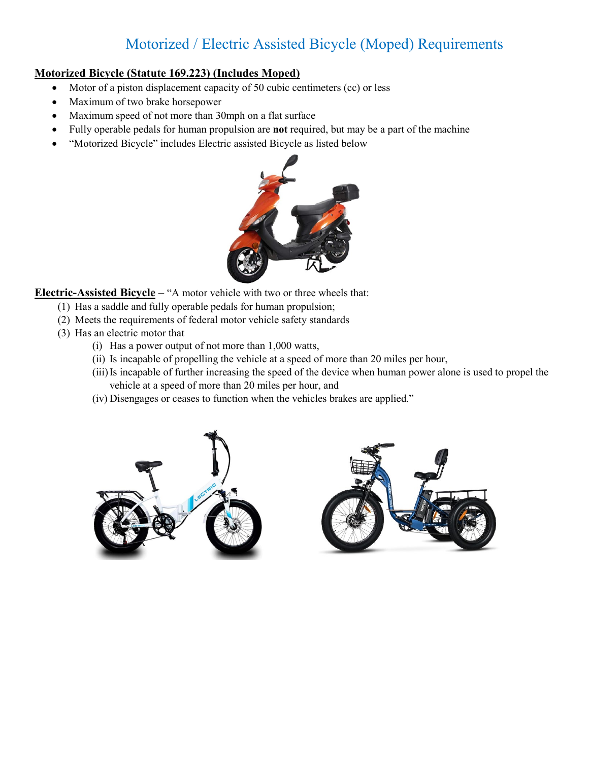## Motorized / Electric Assisted Bicycle (Moped) Requirements

#### **Motorized Bicycle (Statute 169.223) (Includes Moped)**

- Motor of a piston displacement capacity of 50 cubic centimeters (cc) or less
- Maximum of two brake horsepower
- Maximum speed of not more than 30mph on a flat surface
- Fully operable pedals for human propulsion are **not** required, but may be a part of the machine
- "Motorized Bicycle" includes Electric assisted Bicycle as listed below



**Electric-Assisted Bicycle** – "A motor vehicle with two or three wheels that:

- (1) Has a saddle and fully operable pedals for human propulsion;
- (2) Meets the requirements of federal motor vehicle safety standards
- (3) Has an electric motor that
	- (i) Has a power output of not more than 1,000 watts,
	- (ii) Is incapable of propelling the vehicle at a speed of more than 20 miles per hour,
	- (iii)Is incapable of further increasing the speed of the device when human power alone is used to propel the vehicle at a speed of more than 20 miles per hour, and
	- (iv) Disengages or ceases to function when the vehicles brakes are applied."



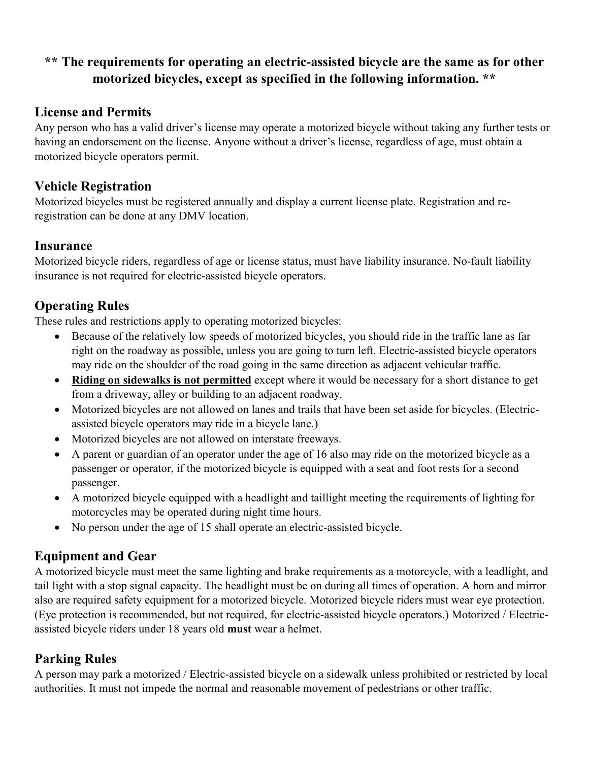### **\*\* The requirements for operating an electric-assisted bicycle are the same as for other motorized bicycles, except as specified in the following information. \*\***

#### **License and Permits**

Any person who has a valid driver's license may operate a motorized bicycle without taking any further tests or having an endorsement on the license. Anyone without a driver's license, regardless of age, must obtain a motorized bicycle operators permit.

#### **Vehicle Registration**

Motorized bicycles must be registered annually and display a current license plate. Registration and reregistration can be done at any DMV location.

#### **Insurance**

Motorized bicycle riders, regardless of age or license status, must have liability insurance. No-fault liability insurance is not required for electric-assisted bicycle operators.

#### **Operating Rules**

These rules and restrictions apply to operating motorized bicycles:

- Because of the relatively low speeds of motorized bicycles, you should ride in the traffic lane as far right on the roadway as possible, unless you are going to turn left. Electric-assisted bicycle operators may ride on the shoulder of the road going in the same direction as adjacent vehicular traffic.
- **Riding on sidewalks is not permitted** except where it would be necessary for a short distance to get from a driveway, alley or building to an adjacent roadway.
- Motorized bicycles are not allowed on lanes and trails that have been set aside for bicycles. (Electricassisted bicycle operators may ride in a bicycle lane.)
- Motorized bicycles are not allowed on interstate freeways.
- A parent or guardian of an operator under the age of 16 also may ride on the motorized bicycle as a passenger or operator, if the motorized bicycle is equipped with a seat and foot rests for a second passenger.
- A motorized bicycle equipped with a headlight and taillight meeting the requirements of lighting for motorcycles may be operated during night time hours.
- No person under the age of 15 shall operate an electric-assisted bicycle.

#### **Equipment and Gear**

A motorized bicycle must meet the same lighting and brake requirements as a motorcycle, with a leadlight, and tail light with a stop signal capacity. The headlight must be on during all times of operation. A horn and mirror also are required safety equipment for a motorized bicycle. Motorized bicycle riders must wear eye protection. (Eye protection is recommended, but not required, for electric-assisted bicycle operators.) Motorized / Electricassisted bicycle riders under 18 years old **must** wear a helmet.

#### **Parking Rules**

A person may park a motorized / Electric-assisted bicycle on a sidewalk unless prohibited or restricted by local authorities. It must not impede the normal and reasonable movement of pedestrians or other traffic.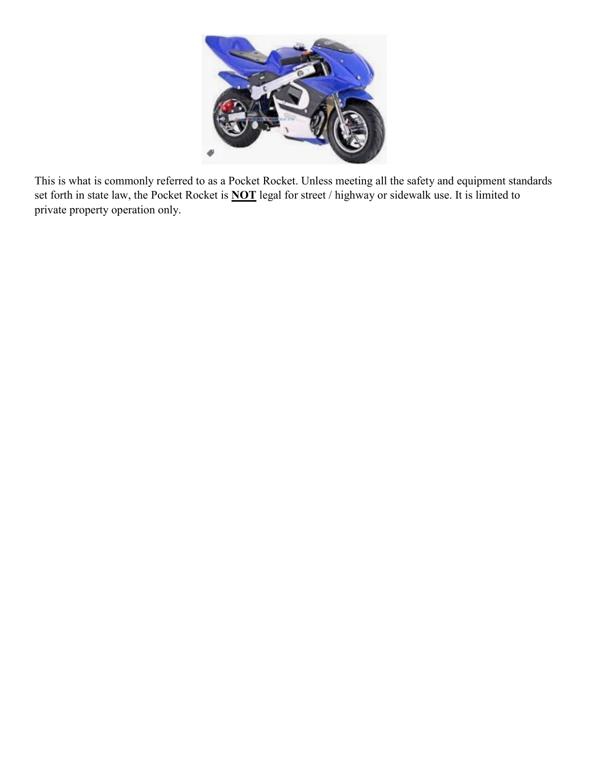

This is what is commonly referred to as a Pocket Rocket. Unless meeting all the safety and equipment standards set forth in state law, the Pocket Rocket is **NOT** legal for street / highway or sidewalk use. It is limited to private property operation only.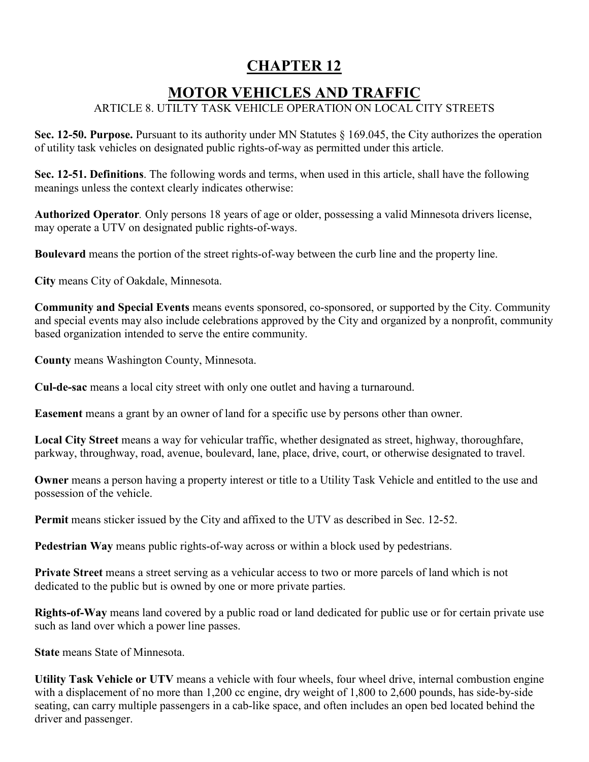## **CHAPTER 12**

## **MOTOR VEHICLES AND TRAFFIC**

#### ARTICLE 8. UTILTY TASK VEHICLE OPERATION ON LOCAL CITY STREETS

**Sec. 12-50. Purpose.** Pursuant to its authority under MN Statutes § 169.045, the City authorizes the operation of utility task vehicles on designated public rights-of-way as permitted under this article.

**Sec. 12-51. Definitions**. The following words and terms, when used in this article, shall have the following meanings unless the context clearly indicates otherwise:

**Authorized Operator***.* Only persons 18 years of age or older, possessing a valid Minnesota drivers license, may operate a UTV on designated public rights-of-ways.

**Boulevard** means the portion of the street rights-of-way between the curb line and the property line.

**City** means City of Oakdale, Minnesota.

**Community and Special Events** means events sponsored, co-sponsored, or supported by the City. Community and special events may also include celebrations approved by the City and organized by a nonprofit, community based organization intended to serve the entire community.

**County** means Washington County, Minnesota.

**Cul-de-sac** means a local city street with only one outlet and having a turnaround.

**Easement** means a grant by an owner of land for a specific use by persons other than owner.

**Local City Street** means a way for vehicular traffic, whether designated as street, highway, thoroughfare, parkway, throughway, road, avenue, boulevard, lane, place, drive, court, or otherwise designated to travel.

**Owner** means a person having a property interest or title to a Utility Task Vehicle and entitled to the use and possession of the vehicle.

**Permit** means sticker issued by the City and affixed to the UTV as described in Sec. 12-52.

**Pedestrian Way** means public rights-of-way across or within a block used by pedestrians.

**Private Street** means a street serving as a vehicular access to two or more parcels of land which is not dedicated to the public but is owned by one or more private parties.

**Rights-of-Way** means land covered by a public road or land dedicated for public use or for certain private use such as land over which a power line passes.

**State** means State of Minnesota.

**Utility Task Vehicle or UTV** means a vehicle with four wheels, four wheel drive, internal combustion engine with a displacement of no more than 1,200 cc engine, dry weight of 1,800 to 2,600 pounds, has side-by-side seating, can carry multiple passengers in a cab-like space, and often includes an open bed located behind the driver and passenger.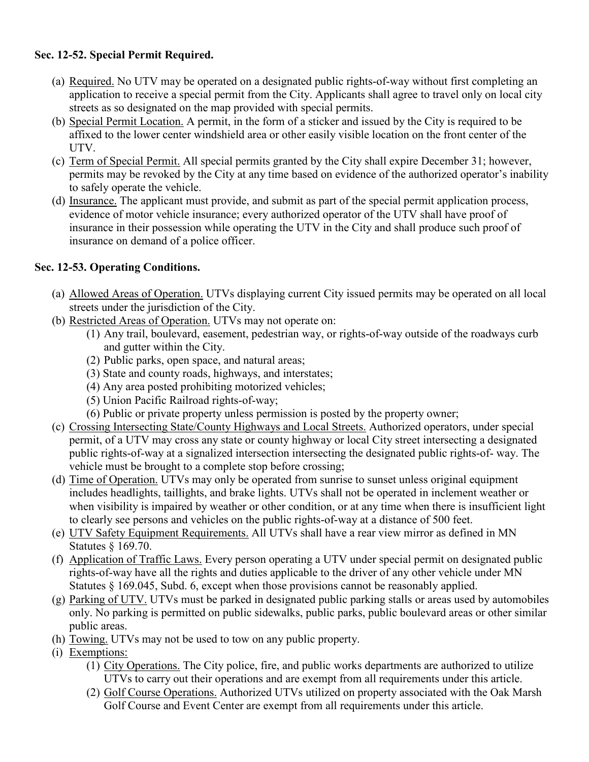#### **Sec. 12-52. Special Permit Required.**

- (a) Required. No UTV may be operated on a designated public rights-of-way without first completing an application to receive a special permit from the City. Applicants shall agree to travel only on local city streets as so designated on the map provided with special permits.
- (b) Special Permit Location. A permit, in the form of a sticker and issued by the City is required to be affixed to the lower center windshield area or other easily visible location on the front center of the UTV.
- (c) Term of Special Permit. All special permits granted by the City shall expire December 31; however, permits may be revoked by the City at any time based on evidence of the authorized operator's inability to safely operate the vehicle.
- (d) Insurance. The applicant must provide, and submit as part of the special permit application process, evidence of motor vehicle insurance; every authorized operator of the UTV shall have proof of insurance in their possession while operating the UTV in the City and shall produce such proof of insurance on demand of a police officer.

#### **Sec. 12-53. Operating Conditions.**

- (a) Allowed Areas of Operation. UTVs displaying current City issued permits may be operated on all local streets under the jurisdiction of the City.
- (b) Restricted Areas of Operation. UTVs may not operate on:
	- (1) Any trail, boulevard, easement, pedestrian way, or rights-of-way outside of the roadways curb and gutter within the City.
	- (2) Public parks, open space, and natural areas;
	- (3) State and county roads, highways, and interstates;
	- (4) Any area posted prohibiting motorized vehicles;
	- (5) Union Pacific Railroad rights-of-way;
	- (6) Public or private property unless permission is posted by the property owner;
- (c) Crossing Intersecting State/County Highways and Local Streets. Authorized operators, under special permit, of a UTV may cross any state or county highway or local City street intersecting a designated public rights-of-way at a signalized intersection intersecting the designated public rights-of- way. The vehicle must be brought to a complete stop before crossing;
- (d) Time of Operation. UTVs may only be operated from sunrise to sunset unless original equipment includes headlights, taillights, and brake lights. UTVs shall not be operated in inclement weather or when visibility is impaired by weather or other condition, or at any time when there is insufficient light to clearly see persons and vehicles on the public rights-of-way at a distance of 500 feet.
- (e) UTV Safety Equipment Requirements. All UTVs shall have a rear view mirror as defined in MN Statutes § 169.70.
- (f) Application of Traffic Laws. Every person operating a UTV under special permit on designated public rights-of-way have all the rights and duties applicable to the driver of any other vehicle under MN Statutes § 169.045, Subd. 6, except when those provisions cannot be reasonably applied.
- (g) Parking of UTV. UTVs must be parked in designated public parking stalls or areas used by automobiles only. No parking is permitted on public sidewalks, public parks, public boulevard areas or other similar public areas.
- (h) Towing. UTVs may not be used to tow on any public property.
- (i) Exemptions:
	- (1) City Operations. The City police, fire, and public works departments are authorized to utilize UTVs to carry out their operations and are exempt from all requirements under this article.
	- (2) Golf Course Operations. Authorized UTVs utilized on property associated with the Oak Marsh Golf Course and Event Center are exempt from all requirements under this article.